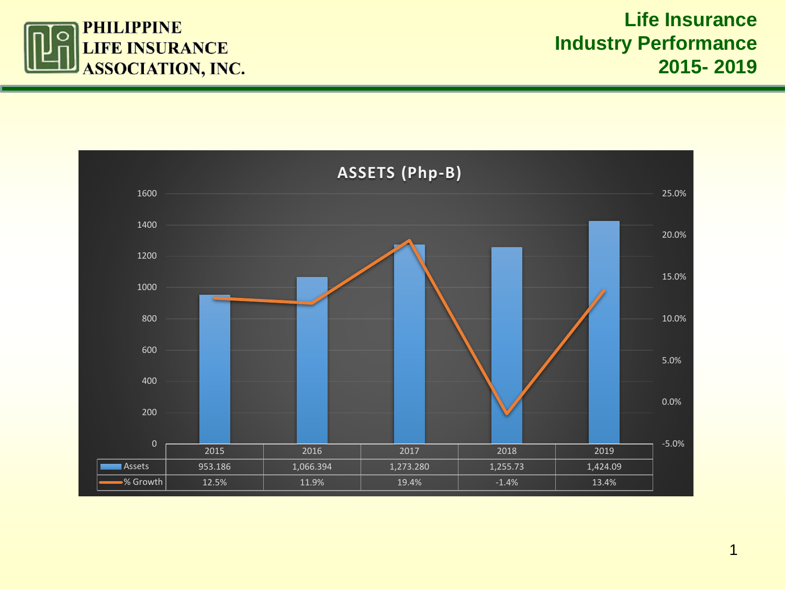

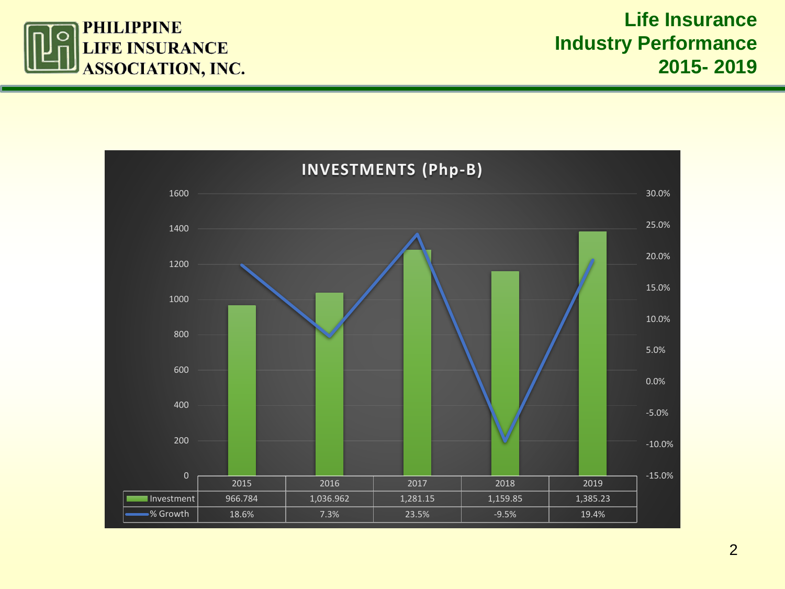

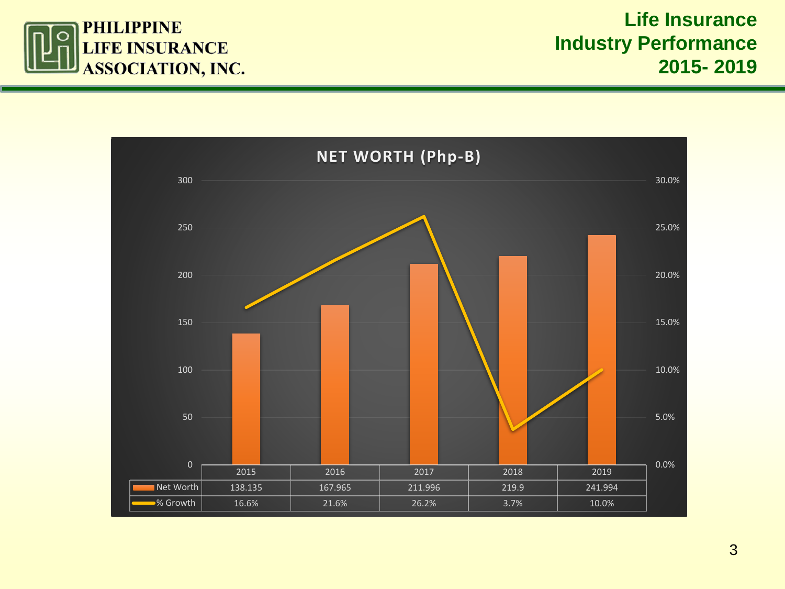

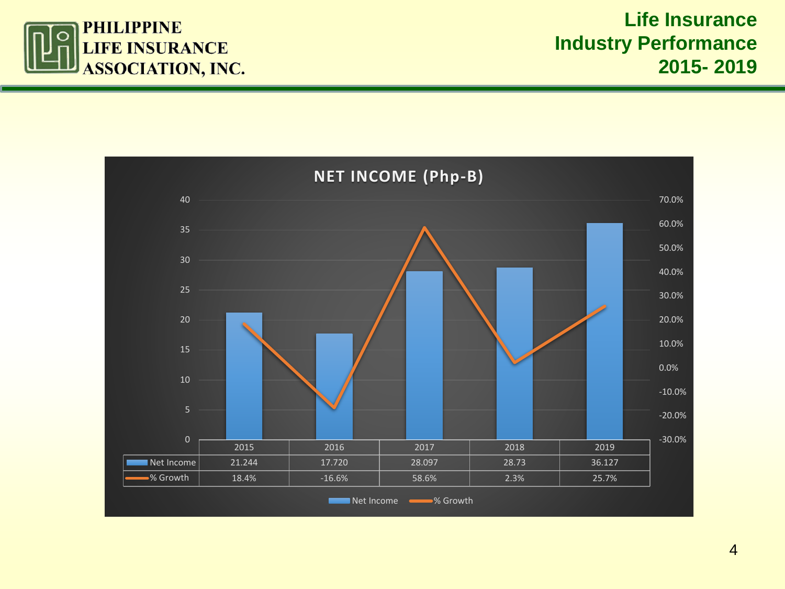

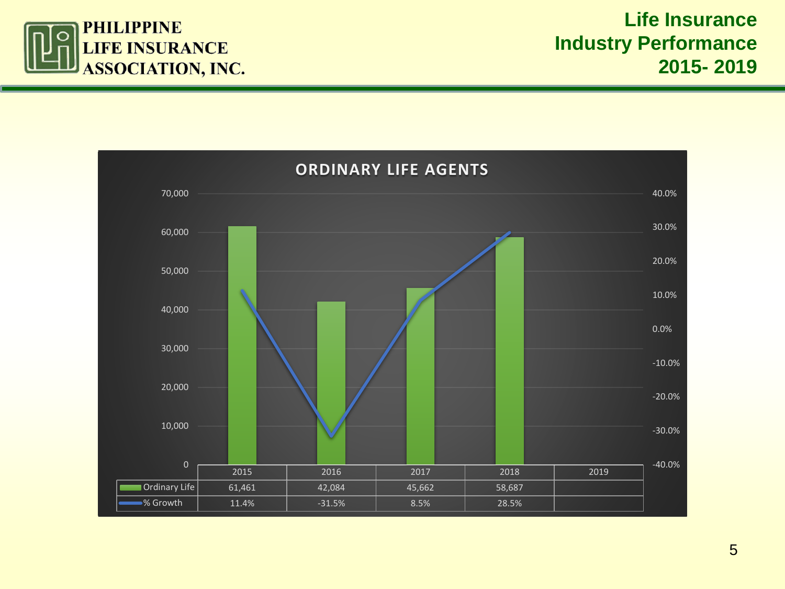

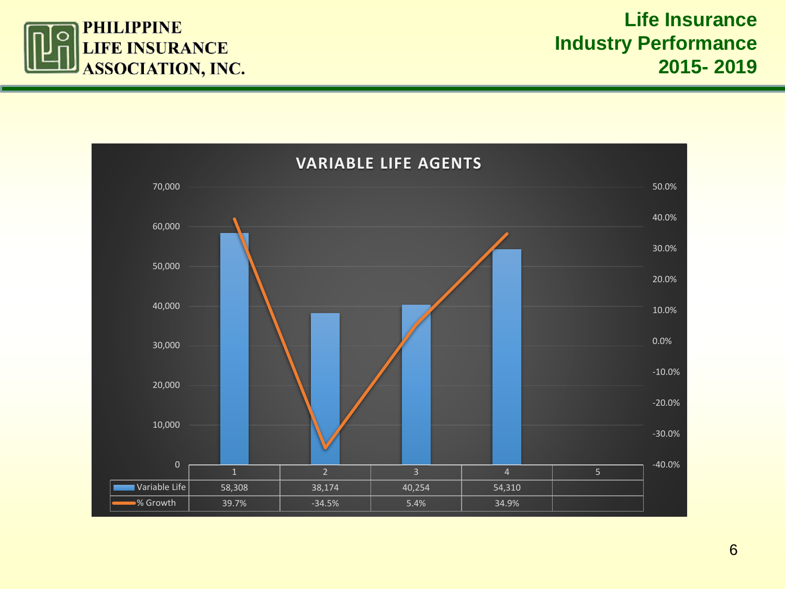

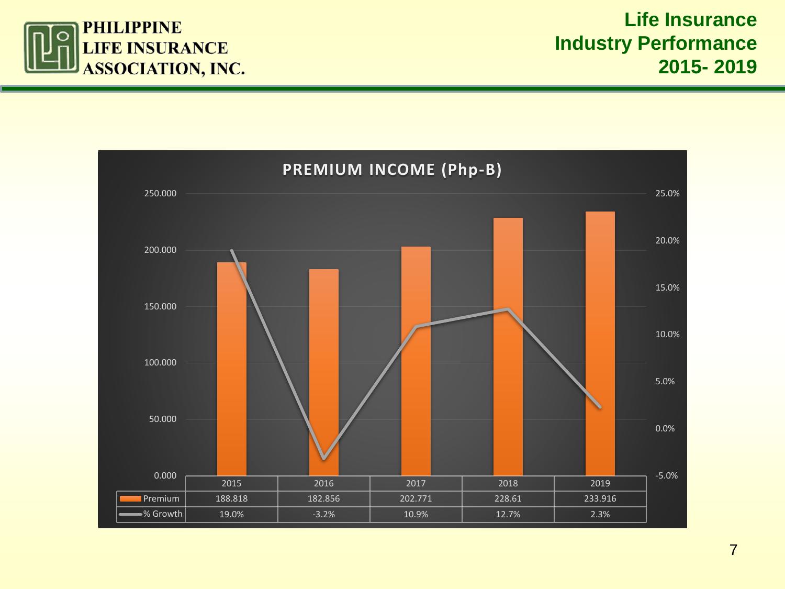

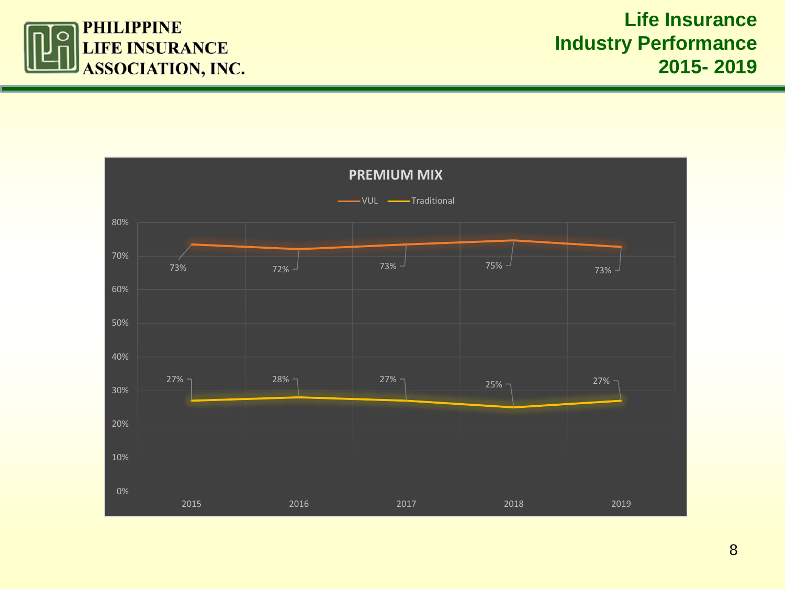

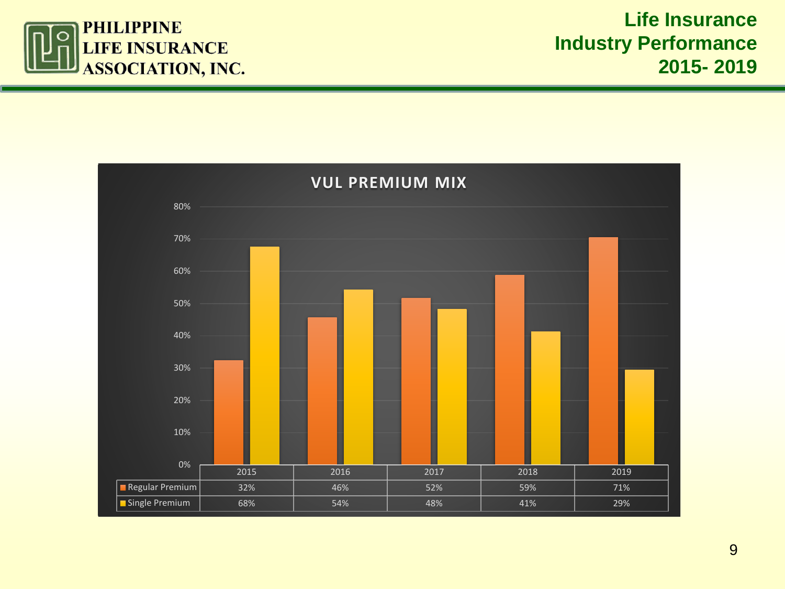

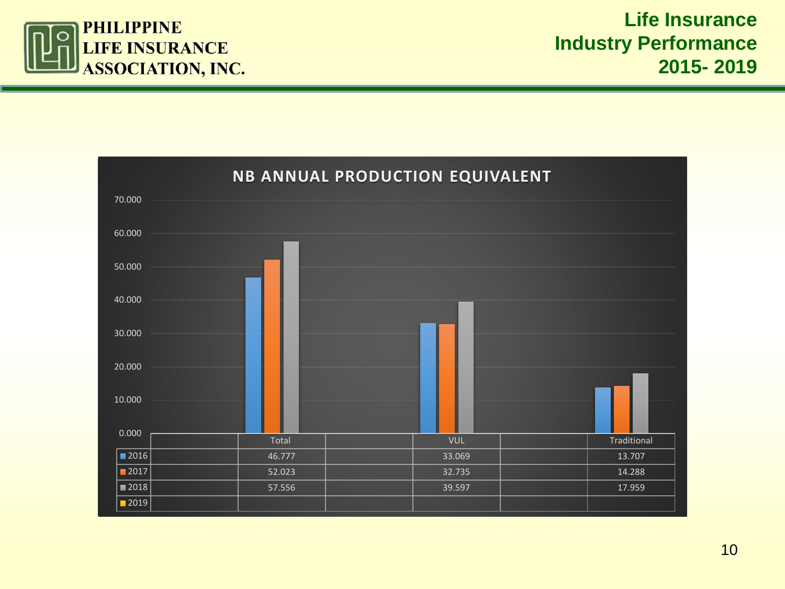

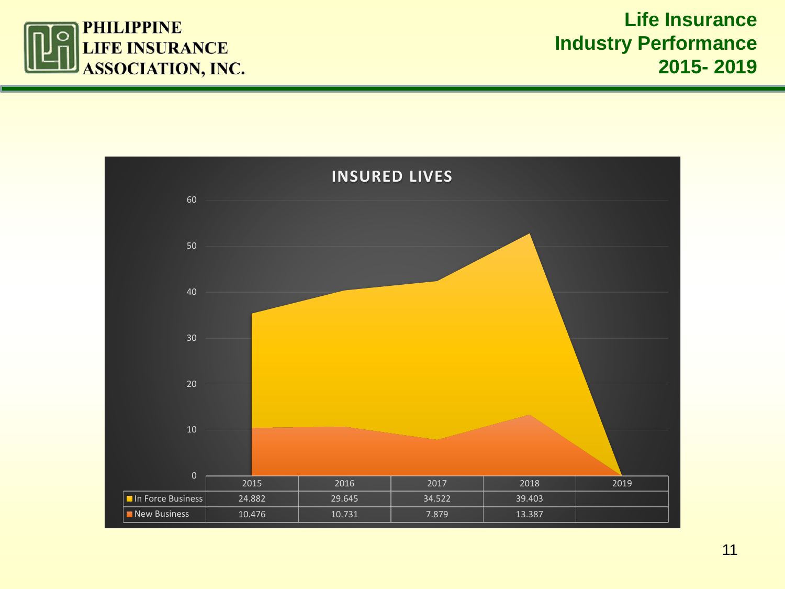

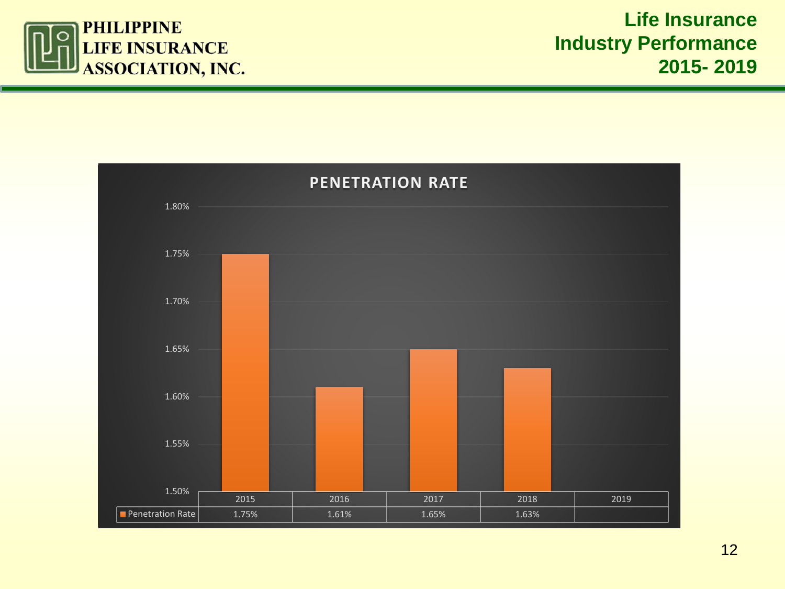

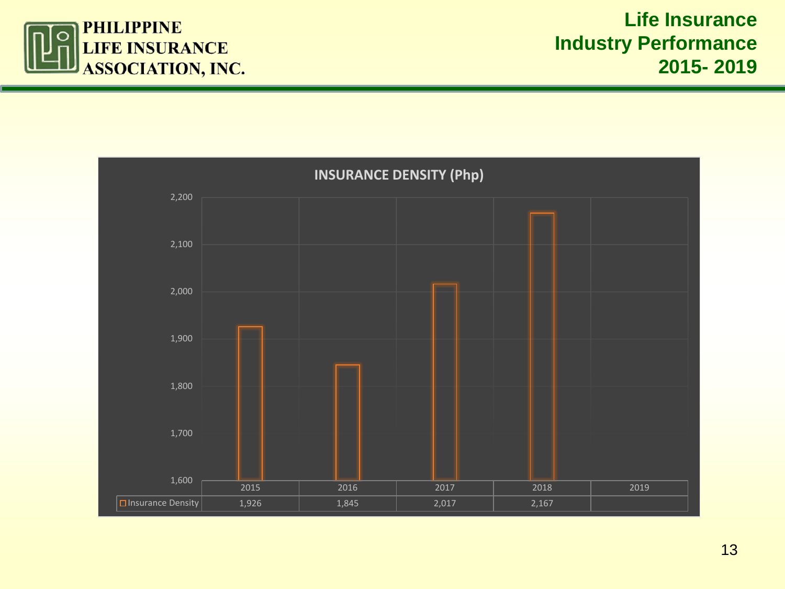

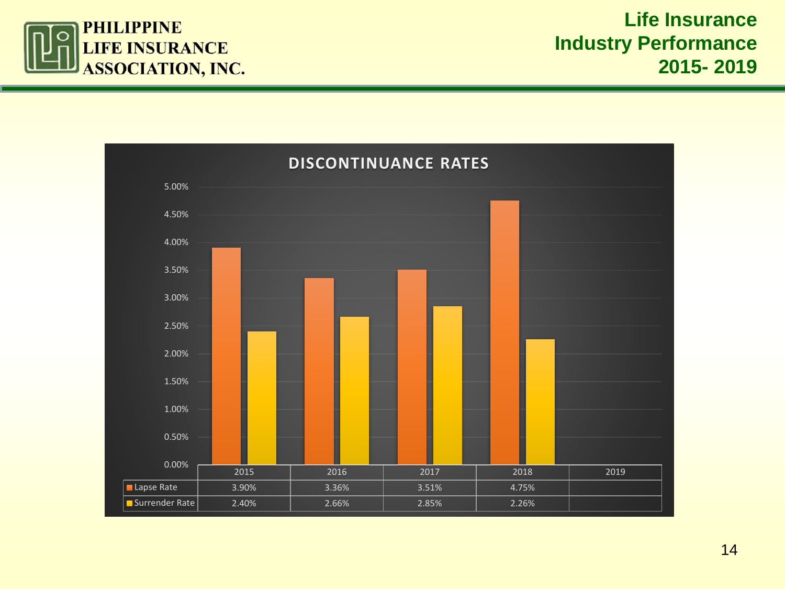